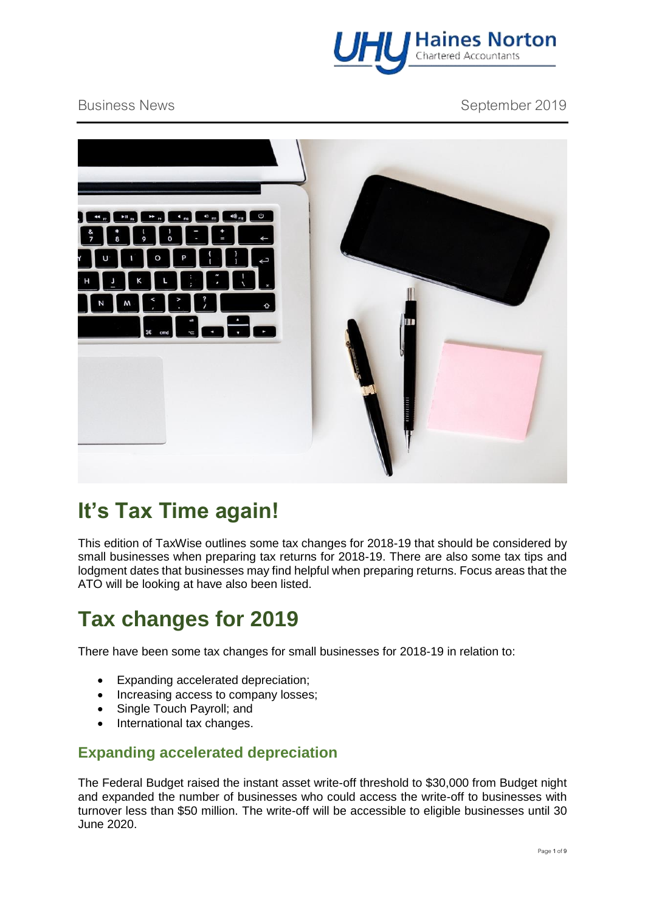

Business News **September 2019** 



# **It's Tax Time again!**

This edition of TaxWise outlines some tax changes for 2018-19 that should be considered by small businesses when preparing tax returns for 2018-19. There are also some tax tips and lodgment dates that businesses may find helpful when preparing returns. Focus areas that the ATO will be looking at have also been listed.

# **Tax changes for 2019**

There have been some tax changes for small businesses for 2018-19 in relation to:

- Expanding accelerated depreciation;
- Increasing access to company losses:
- Single Touch Payroll; and
- International tax changes.

### **Expanding accelerated depreciation**

The Federal Budget raised the instant asset write-off threshold to \$30,000 from Budget night and expanded the number of businesses who could access the write-off to businesses with turnover less than \$50 million. The write-off will be accessible to eligible businesses until 30 June 2020.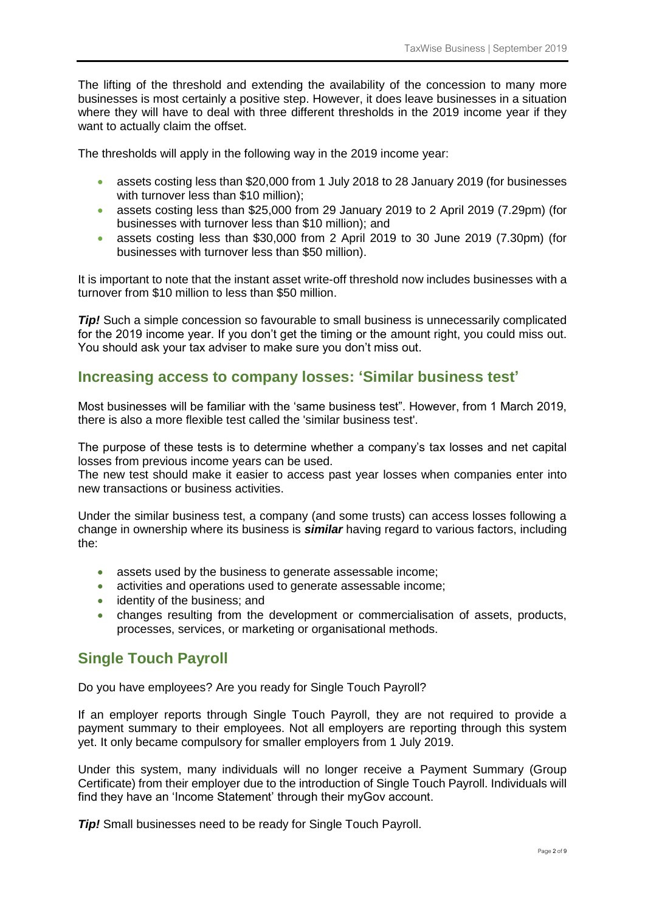The lifting of the threshold and extending the availability of the concession to many more businesses is most certainly a positive step. However, it does leave businesses in a situation where they will have to deal with three different thresholds in the 2019 income year if they want to actually claim the offset.

The thresholds will apply in the following way in the 2019 income year:

- assets costing less than \$20,000 from 1 July 2018 to 28 January 2019 (for businesses with turnover less than \$10 million);
- assets costing less than \$25,000 from 29 January 2019 to 2 April 2019 (7.29pm) (for businesses with turnover less than \$10 million); and
- assets costing less than \$30,000 from 2 April 2019 to 30 June 2019 (7.30pm) (for businesses with turnover less than \$50 million).

It is important to note that the instant asset write-off threshold now includes businesses with a turnover from \$10 million to less than \$50 million.

*Tip!* Such a simple concession so favourable to small business is unnecessarily complicated for the 2019 income year. If you don't get the timing or the amount right, you could miss out. You should ask your tax adviser to make sure you don't miss out.

#### **Increasing access to company losses: 'Similar business test'**

Most businesses will be familiar with the 'same business test". However, from 1 March 2019, there is also a more flexible test called the 'similar business test'.

The purpose of these tests is to determine whether a company's tax losses and net capital losses from previous income years can be used.

The new test should make it easier to access past year losses when companies enter into new transactions or business activities.

Under the similar business test, a company (and some trusts) can access losses following a change in ownership where its business is *similar* having regard to various factors, including the:

- assets used by the business to generate assessable income;
- activities and operations used to generate assessable income;
- identity of the business: and
- changes resulting from the development or commercialisation of assets, products, processes, services, or marketing or organisational methods.

### **Single Touch Payroll**

Do you have employees? Are you ready for Single Touch Payroll?

If an employer reports through Single Touch Payroll, they are not required to provide a payment summary to their employees. Not all employers are reporting through this system yet. It only became compulsory for smaller employers from 1 July 2019.

Under this system, many individuals will no longer receive a Payment Summary (Group Certificate) from their employer due to the introduction of Single Touch Payroll. Individuals will find they have an 'Income Statement' through their myGov account.

*Tip!* Small businesses need to be ready for Single Touch Payroll.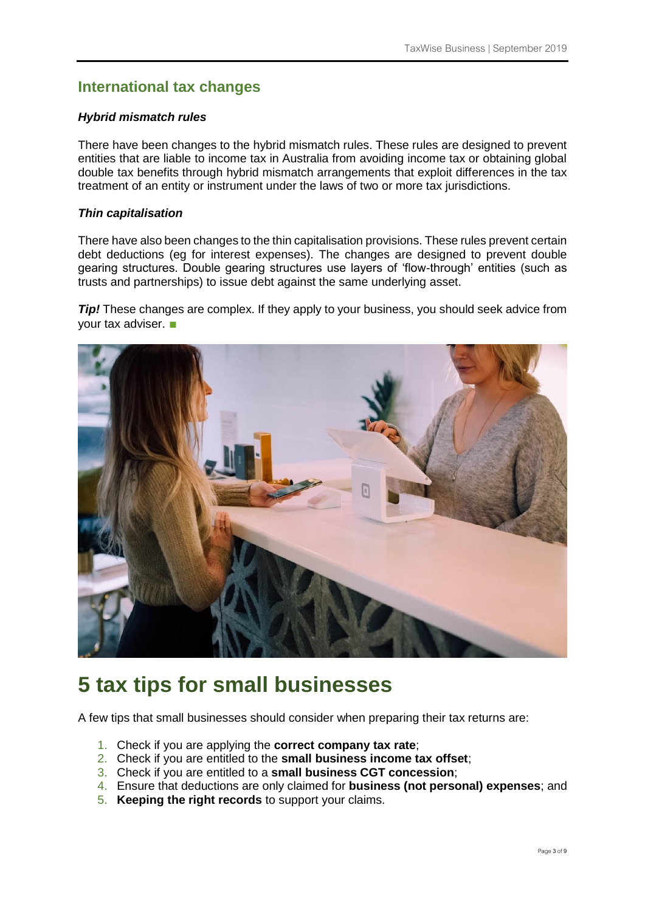### **International tax changes**

#### *Hybrid mismatch rules*

There have been changes to the hybrid mismatch rules. These rules are designed to prevent entities that are liable to income tax in Australia from avoiding income tax or obtaining global double tax benefits through hybrid mismatch arrangements that exploit differences in the tax treatment of an entity or instrument under the laws of two or more tax jurisdictions.

#### *Thin capitalisation*

There have also been changes to the thin capitalisation provisions. These rules prevent certain debt deductions (eg for interest expenses). The changes are designed to prevent double gearing structures. Double gearing structures use layers of 'flow-through' entities (such as trusts and partnerships) to issue debt against the same underlying asset.

**Tip!** These changes are complex. If they apply to your business, you should seek advice from your tax adviser. ■



### **5 tax tips for small businesses**

A few tips that small businesses should consider when preparing their tax returns are:

- 1. Check if you are applying the **correct company tax rate**;
- 2. Check if you are entitled to the **small business income tax offset**;
- 3. Check if you are entitled to a **small business CGT concession**;
- 4. Ensure that deductions are only claimed for **business (not personal) expenses**; and
- 5. **Keeping the right records** to support your claims.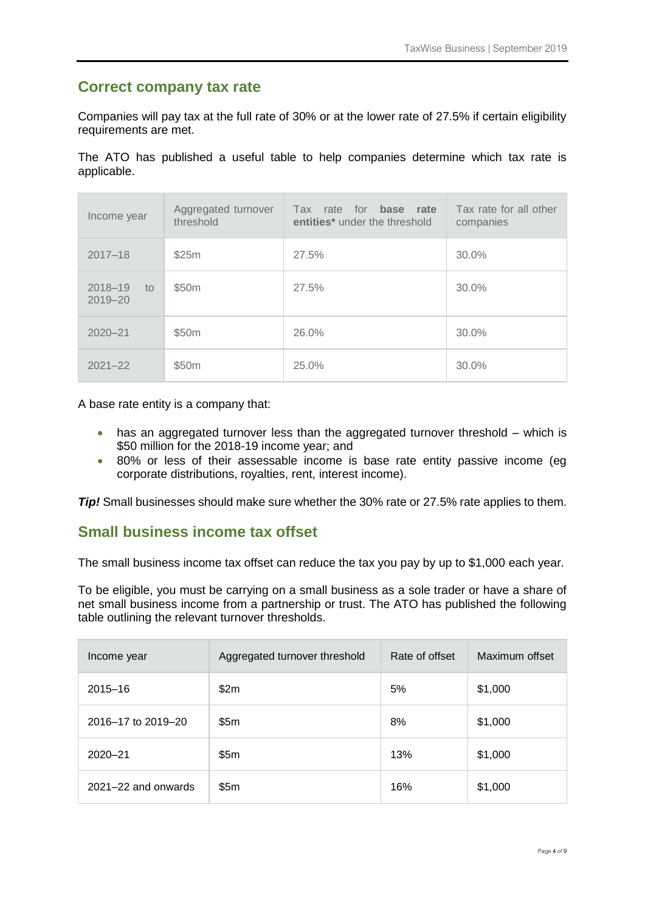#### **Correct company tax rate**

Companies will pay tax at the full rate of 30% or at the lower rate of 27.5% if certain eligibility requirements are met.

The ATO has published a useful table to help companies determine which tax rate is applicable.

| Income year                      | Aggregated turnover<br>threshold | Tax rate for <b>base</b><br>rate<br>entities <sup>*</sup> under the threshold | Tax rate for all other<br>companies |
|----------------------------------|----------------------------------|-------------------------------------------------------------------------------|-------------------------------------|
| $2017 - 18$                      | \$25m                            | 27.5%                                                                         | 30.0%                               |
| $2018 - 19$<br>to<br>$2019 - 20$ | \$50 <sub>m</sub>                | 27.5%                                                                         | 30.0%                               |
| $2020 - 21$                      | \$50 <sub>m</sub>                | 26.0%                                                                         | 30.0%                               |
| $2021 - 22$                      | \$50m                            | 25.0%                                                                         | 30.0%                               |

A base rate entity is a company that:

- has an aggregated turnover less than the aggregated turnover threshold which is \$50 million for the 2018-19 income year; and
- 80% or less of their assessable income is base rate entity passive income (eg corporate distributions, royalties, rent, interest income).

*Tip!* Small businesses should make sure whether the 30% rate or 27.5% rate applies to them.

#### **Small business income tax offset**

The small business income tax offset can reduce the tax you pay by up to \$1,000 each year.

To be eligible, you must be carrying on a small business as a sole trader or have a share of net small business income from a partnership or trust. The ATO has published the following table outlining the relevant turnover thresholds.

| Income year             | Aggregated turnover threshold | Rate of offset | Maximum offset |
|-------------------------|-------------------------------|----------------|----------------|
| $2015 - 16$             | \$2m                          | 5%             | \$1,000        |
| 2016-17 to 2019-20      | \$5m                          | 8%             | \$1,000        |
| $2020 - 21$             | \$5m                          | 13%            | \$1,000        |
| $2021 - 22$ and onwards | \$5m                          | 16%            | \$1,000        |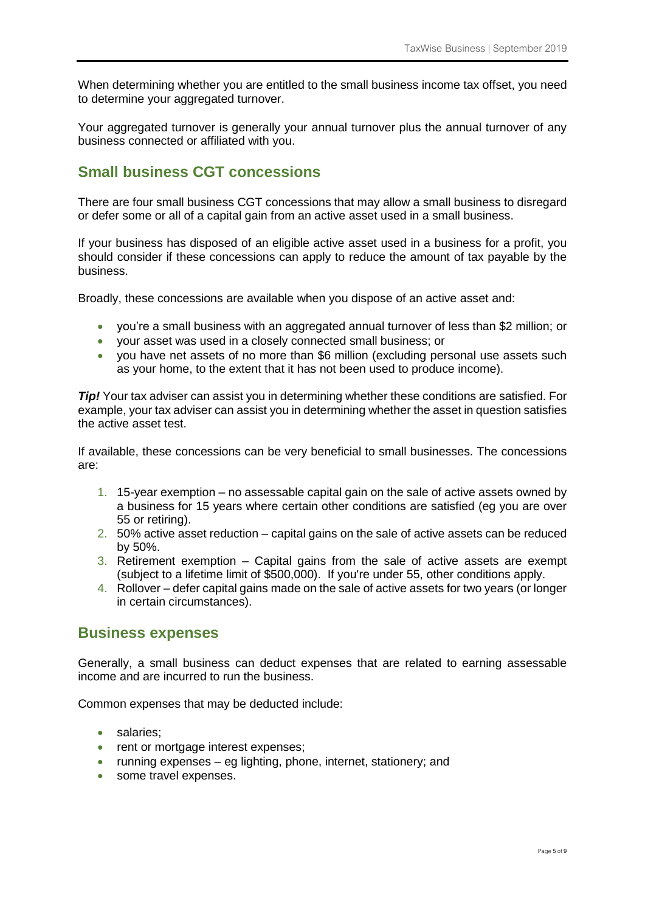When determining whether you are entitled to the small business income tax offset, you need to determine your aggregated turnover.

Your aggregated turnover is generally your annual turnover plus the annual turnover of any business connected or affiliated with you.

### **Small business CGT concessions**

There are four small business CGT concessions that may allow a small business to disregard or defer some or all of a capital gain from an active asset used in a small business.

If your business has disposed of an eligible active asset used in a business for a profit, you should consider if these concessions can apply to reduce the amount of tax payable by the business.

Broadly, these concessions are available when you dispose of an active asset and:

- you're a small business with an aggregated annual turnover of less than \$2 million; or
- your asset was used in a closely connected small business; or
- you have net assets of no more than \$6 million (excluding personal use assets such as your home, to the extent that it has not been used to produce income).

**Tip!** Your tax adviser can assist you in determining whether these conditions are satisfied. For example, your tax adviser can assist you in determining whether the asset in question satisfies the active asset test.

If available, these concessions can be very beneficial to small businesses. The concessions are:

- 1. 15-year exemption no assessable capital gain on the sale of active assets owned by a business for 15 years where certain other conditions are satisfied (eg you are over 55 or retiring).
- 2. 50% active asset reduction capital gains on the sale of active assets can be reduced by 50%.
- 3. Retirement exemption Capital gains from the sale of active assets are exempt (subject to a lifetime limit of \$500,000). If you're under 55, other conditions apply.
- 4. Rollover defer capital gains made on the sale of active assets for two years (or longer in certain circumstances).

#### **Business expenses**

Generally, a small business can deduct expenses that are related to earning assessable income and are incurred to run the business.

Common expenses that may be deducted include:

- salaries:
- rent or mortgage interest expenses;
- running expenses eg lighting, phone, internet, stationery; and
- some travel expenses.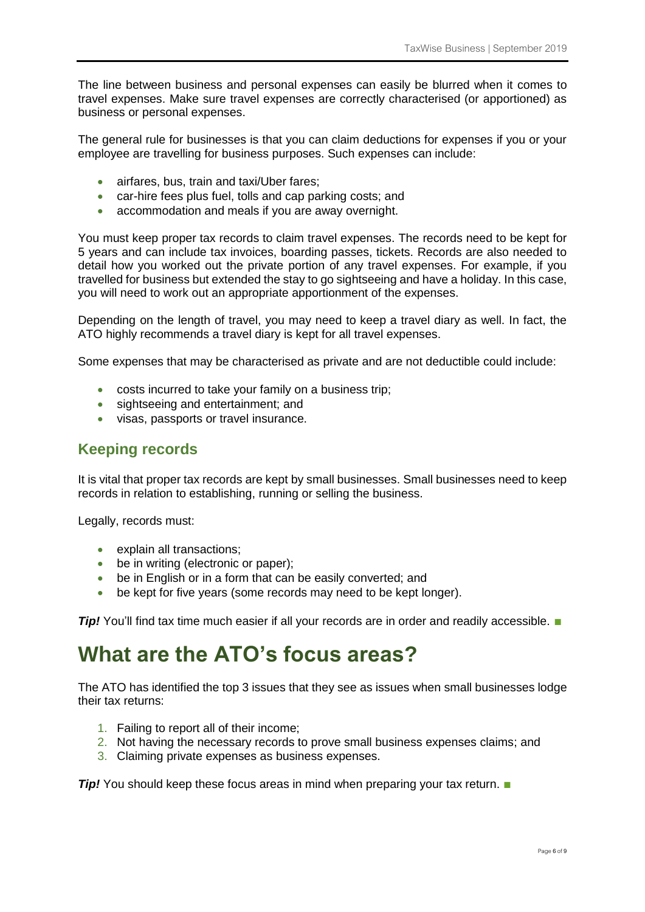The line between business and personal expenses can easily be blurred when it comes to travel expenses. Make sure travel expenses are correctly characterised (or apportioned) as business or personal expenses.

The general rule for businesses is that you can claim deductions for expenses if you or your employee are travelling for business purposes. Such expenses can include:

- airfares, bus, train and taxi/Uber fares;
- car-hire fees plus fuel, tolls and cap parking costs; and
- accommodation and meals if you are away overnight.

You must keep proper tax records to claim travel expenses. The records need to be kept for 5 years and can include tax invoices, boarding passes, tickets. Records are also needed to detail how you worked out the private portion of any travel expenses. For example, if you travelled for business but extended the stay to go sightseeing and have a holiday. In this case, you will need to work out an appropriate apportionment of the expenses.

Depending on the length of travel, you may need to keep a travel diary as well. In fact, the ATO highly recommends a travel diary is kept for all travel expenses.

Some expenses that may be characterised as private and are not deductible could include:

- costs incurred to take your family on a business trip;
- sightseeing and entertainment; and
- visas, passports or travel insurance.

### **Keeping records**

It is vital that proper tax records are kept by small businesses. Small businesses need to keep records in relation to establishing, running or selling the business.

Legally, records must:

- explain all transactions;
- be in writing (electronic or paper);
- be in English or in a form that can be easily converted; and
- be kept for five years (some records may need to be kept longer).

**Tip!** You'll find tax time much easier if all your records are in order and readily accessible. ■

### **What are the ATO's focus areas?**

The ATO has identified the top 3 issues that they see as issues when small businesses lodge their tax returns:

- 1. Failing to report all of their income;
- 2. Not having the necessary records to prove small business expenses claims; and
- 3. Claiming private expenses as business expenses.

*Tip!* You should keep these focus areas in mind when preparing your tax return. ■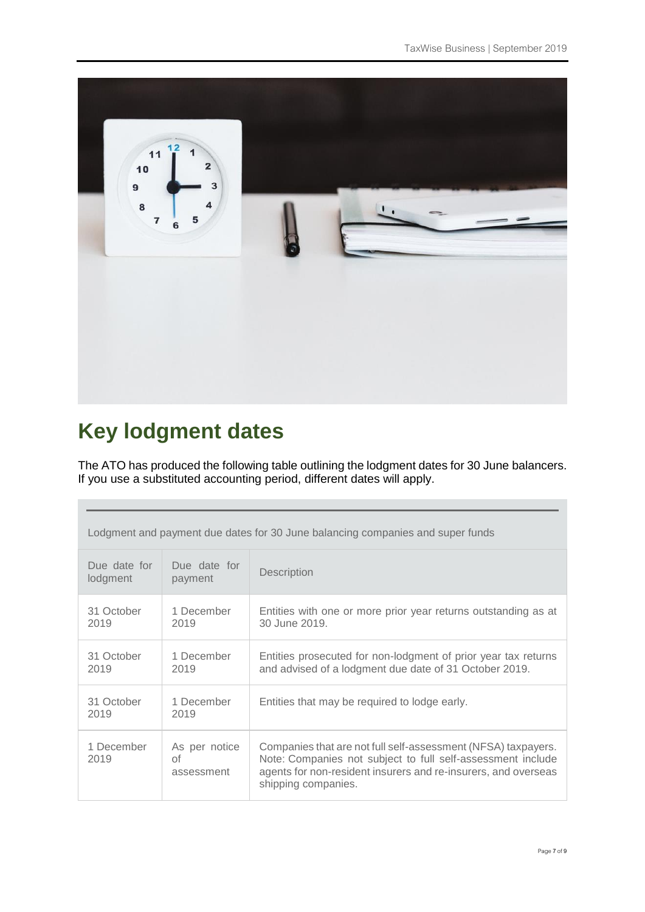

# **Key lodgment dates**

The ATO has produced the following table outlining the lodgment dates for 30 June balancers. If you use a substituted accounting period, different dates will apply.

| Lodgment and payment due dates for 30 June balancing companies and super funds |                                   |                                                                                                                                                                                                                       |  |
|--------------------------------------------------------------------------------|-----------------------------------|-----------------------------------------------------------------------------------------------------------------------------------------------------------------------------------------------------------------------|--|
| Due date for<br>lodgment                                                       | Due date for<br>payment           | Description                                                                                                                                                                                                           |  |
| 31 October<br>2019                                                             | 1 December<br>2019                | Entities with one or more prior year returns outstanding as at<br>30 June 2019.                                                                                                                                       |  |
| 31 October<br>2019                                                             | 1 December<br>2019                | Entities prosecuted for non-lodgment of prior year tax returns<br>and advised of a lodgment due date of 31 October 2019.                                                                                              |  |
| 31 October<br>2019                                                             | 1 December<br>2019                | Entities that may be required to lodge early.                                                                                                                                                                         |  |
| 1 December<br>2019                                                             | As per notice<br>Οf<br>assessment | Companies that are not full self-assessment (NFSA) taxpayers.<br>Note: Companies not subject to full self-assessment include<br>agents for non-resident insurers and re-insurers, and overseas<br>shipping companies. |  |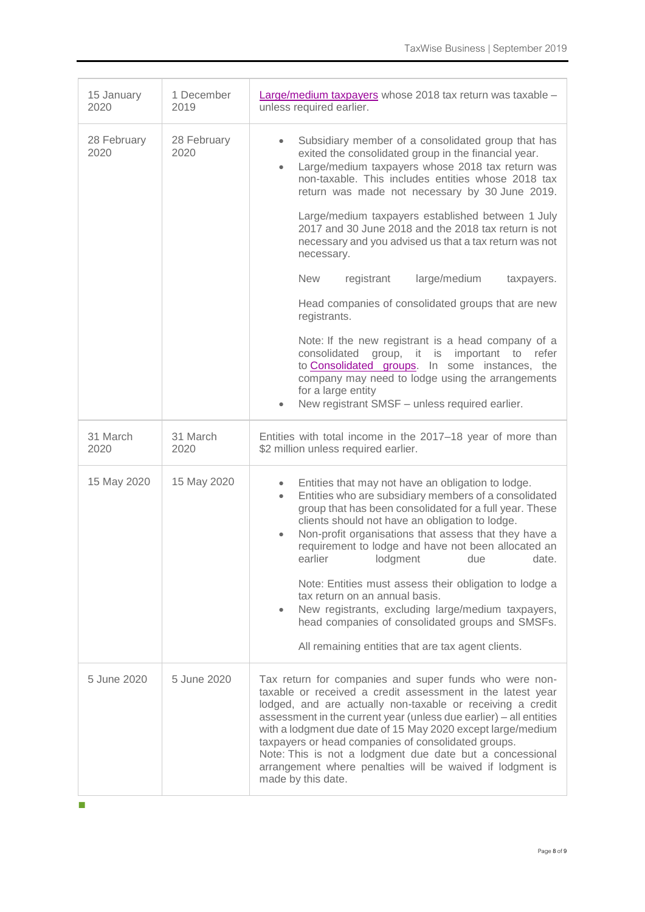| 15 January<br>2020  | 1 December<br>2019  | Large/medium taxpayers whose 2018 tax return was taxable -<br>unless required earlier.                                                                                                                                                                                                                                                                                                                                                                                                                                                                                                                                                                                                                                                                                                                                                                                                                              |  |
|---------------------|---------------------|---------------------------------------------------------------------------------------------------------------------------------------------------------------------------------------------------------------------------------------------------------------------------------------------------------------------------------------------------------------------------------------------------------------------------------------------------------------------------------------------------------------------------------------------------------------------------------------------------------------------------------------------------------------------------------------------------------------------------------------------------------------------------------------------------------------------------------------------------------------------------------------------------------------------|--|
| 28 February<br>2020 | 28 February<br>2020 | Subsidiary member of a consolidated group that has<br>$\bullet$<br>exited the consolidated group in the financial year.<br>Large/medium taxpayers whose 2018 tax return was<br>$\bullet$<br>non-taxable. This includes entities whose 2018 tax<br>return was made not necessary by 30 June 2019.<br>Large/medium taxpayers established between 1 July<br>2017 and 30 June 2018 and the 2018 tax return is not<br>necessary and you advised us that a tax return was not<br>necessary.<br><b>New</b><br>large/medium<br>registrant<br>taxpayers.<br>Head companies of consolidated groups that are new<br>registrants.<br>Note: If the new registrant is a head company of a<br>group, it is important to refer<br>consolidated<br>to <b>Consolidated</b> groups. In some instances, the<br>company may need to lodge using the arrangements<br>for a large entity<br>New registrant SMSF - unless required earlier. |  |
| 31 March<br>2020    | 31 March<br>2020    | Entities with total income in the 2017–18 year of more than<br>\$2 million unless required earlier.                                                                                                                                                                                                                                                                                                                                                                                                                                                                                                                                                                                                                                                                                                                                                                                                                 |  |
| 15 May 2020         | 15 May 2020         | Entities that may not have an obligation to lodge.<br>$\bullet$<br>Entities who are subsidiary members of a consolidated<br>$\bullet$<br>group that has been consolidated for a full year. These<br>clients should not have an obligation to lodge.<br>Non-profit organisations that assess that they have a<br>$\bullet$<br>requirement to lodge and have not been allocated an<br>earlier<br>lodgment<br>due<br>date.<br>Note: Entities must assess their obligation to lodge a<br>tax return on an annual basis.<br>New registrants, excluding large/medium taxpayers,<br>$\bullet$<br>head companies of consolidated groups and SMSFs.<br>All remaining entities that are tax agent clients.                                                                                                                                                                                                                    |  |
| 5 June 2020         | 5 June 2020         | Tax return for companies and super funds who were non-<br>taxable or received a credit assessment in the latest year<br>lodged, and are actually non-taxable or receiving a credit<br>assessment in the current year (unless due earlier) - all entities<br>with a lodgment due date of 15 May 2020 except large/medium<br>taxpayers or head companies of consolidated groups.<br>Note: This is not a lodgment due date but a concessional<br>arrangement where penalties will be waived if lodgment is<br>made by this date.                                                                                                                                                                                                                                                                                                                                                                                       |  |

■